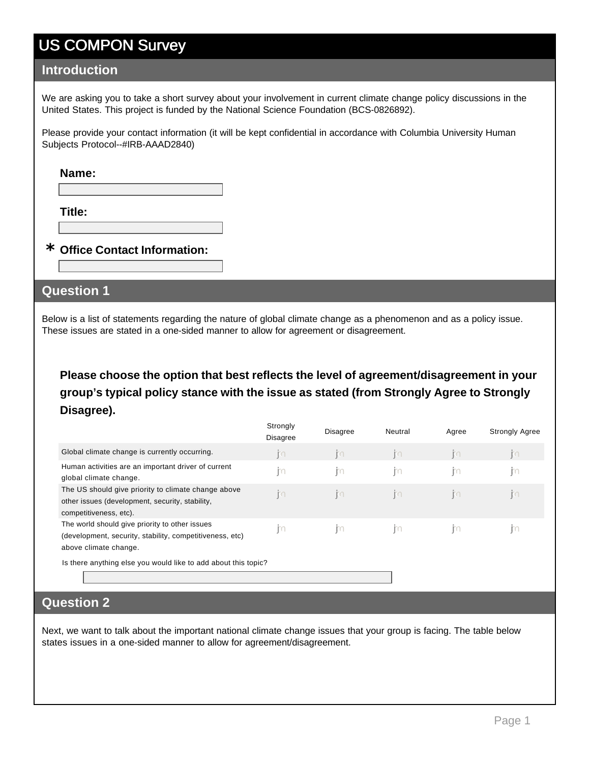#### **Introduction**

We are asking you to take a short survey about your involvement in current climate change policy discussions in the United States. This project is funded by the National Science Foundation (BCS-0826892).

Please provide your contact information (it will be kept confidential in accordance with Columbia University Human Subjects Protocol--#IRB-AAAD2840)

#### **Name:**

**Title:**

### **Office Contact Information: \***

#### **Question 1**

Below is a list of statements regarding the nature of global climate change as a phenomenon and as a policy issue. These issues are stated in a one-sided manner to allow for agreement or disagreement.

**Please choose the option that best reflects the level of agreement/disagreement in your group's typical policy stance with the issue as stated (from Strongly Agree to Strongly Disagree).**

|                                                                                                                                     | Strongly<br><b>Disagree</b> | <b>Disagree</b>   | Neutral        | Agree          | <b>Strongly Agree</b> |
|-------------------------------------------------------------------------------------------------------------------------------------|-----------------------------|-------------------|----------------|----------------|-----------------------|
| Global climate change is currently occurring.                                                                                       | j٣                          | n                 | n              | R <sub>1</sub> | $\mathbb{E}$          |
| Human activities are an important driver of current<br>global climate change.                                                       | İ٢                          | m                 | m              | m              | JЮ                    |
| The US should give priority to climate change above<br>other issues (development, security, stability,<br>competitiveness, etc).    | jkn                         | $\mathbb{E} \cap$ | R <sub>1</sub> | n              | $\mathbb{R}$          |
| The world should give priority to other issues<br>(development, security, stability, competitiveness, etc)<br>above climate change. | m                           | -liu              | m              | m              | m                     |
| Is there anything else you would like to add about this topic?                                                                      |                             |                   |                |                |                       |

#### **Question 2**

Next, we want to talk about the important national climate change issues that your group is facing. The table below states issues in a one-sided manner to allow for agreement/disagreement.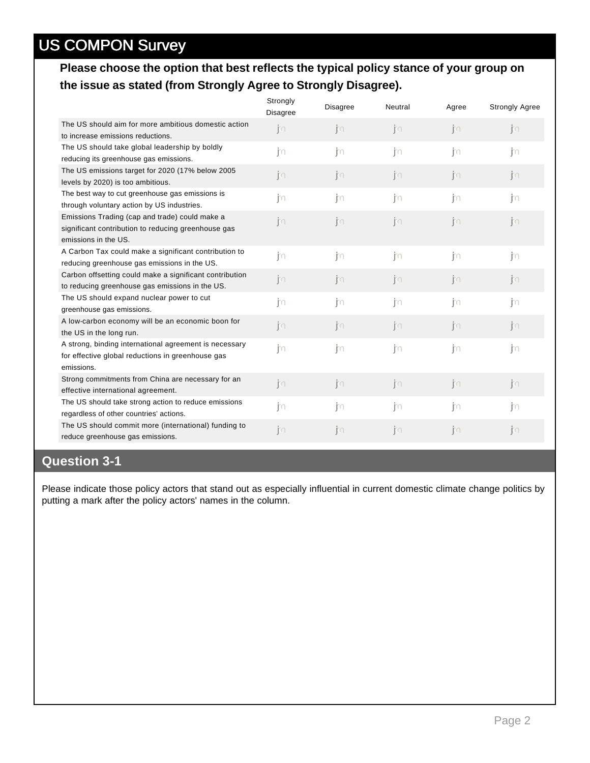#### **Please choose the option that best reflects the typical policy stance of your group on the issue as stated (from Strongly Agree to Strongly Disagree).**

|                                                                                | Strongly<br>Disagree | <b>Disagree</b> | Neutral      | Agree     | <b>Strongly Agree</b> |
|--------------------------------------------------------------------------------|----------------------|-----------------|--------------|-----------|-----------------------|
| The US should aim for more ambitious domestic action                           | jn                   | n               | $\mathbb{M}$ | n         | n                     |
| to increase emissions reductions.                                              |                      |                 |              |           |                       |
| The US should take global leadership by boldly                                 | jm                   | in.             | j'n          | ∣m        | jn                    |
| reducing its greenhouse gas emissions.                                         |                      |                 |              |           |                       |
| The US emissions target for 2020 (17% below 2005                               | n                    | n               | n            | n         | jn                    |
| levels by 2020) is too ambitious.                                              |                      |                 |              |           |                       |
| The best way to cut greenhouse gas emissions is                                | jm                   | in.             | j'n          | jm        | jn                    |
| through voluntary action by US industries.                                     |                      |                 |              |           |                       |
| Emissions Trading (cap and trade) could make a                                 | n                    | n               | n            | n         | n                     |
| significant contribution to reducing greenhouse gas                            |                      |                 |              |           |                       |
| emissions in the US.                                                           |                      |                 |              |           |                       |
| A Carbon Tax could make a significant contribution to                          | jn                   | jn              | m            | m         | $\mathsf{m}$          |
| reducing greenhouse gas emissions in the US.                                   |                      |                 |              |           |                       |
| Carbon offsetting could make a significant contribution                        | n                    | n               | n            | n         | jin.                  |
| to reducing greenhouse gas emissions in the US.                                |                      |                 |              |           |                       |
| The US should expand nuclear power to cut                                      | jn                   | . jto           | ∣m           | jn        | jn                    |
| greenhouse gas emissions.<br>A low-carbon economy will be an economic boon for |                      |                 |              |           |                       |
| the US in the long run.                                                        | j₹∩                  | j∖∩             | $\mathbb{M}$ | jm        | jm.                   |
| A strong, binding international agreement is necessary                         |                      |                 |              |           |                       |
| for effective global reductions in greenhouse gas                              | jn                   | . jto           | ∣m           | .jp       | jn                    |
| emissions.                                                                     |                      |                 |              |           |                       |
| Strong commitments from China are necessary for an                             |                      |                 |              |           |                       |
| effective international agreement.                                             | jn                   | jn              | jn           | jn        | $\mathbb{R}$          |
| The US should take strong action to reduce emissions                           |                      |                 | m            | m         | m                     |
| regardless of other countries' actions.                                        | jm                   | . jto           |              |           |                       |
| The US should commit more (international) funding to                           | jn                   | ोरा             | jn           | $ S \cap$ | jn                    |
| reduce greenhouse gas emissions.                                               |                      |                 |              |           |                       |
|                                                                                |                      |                 |              |           |                       |

#### **Question 3-1**

Please indicate those policy actors that stand out as especially influential in current domestic climate change politics by putting a mark after the policy actors' names in the column.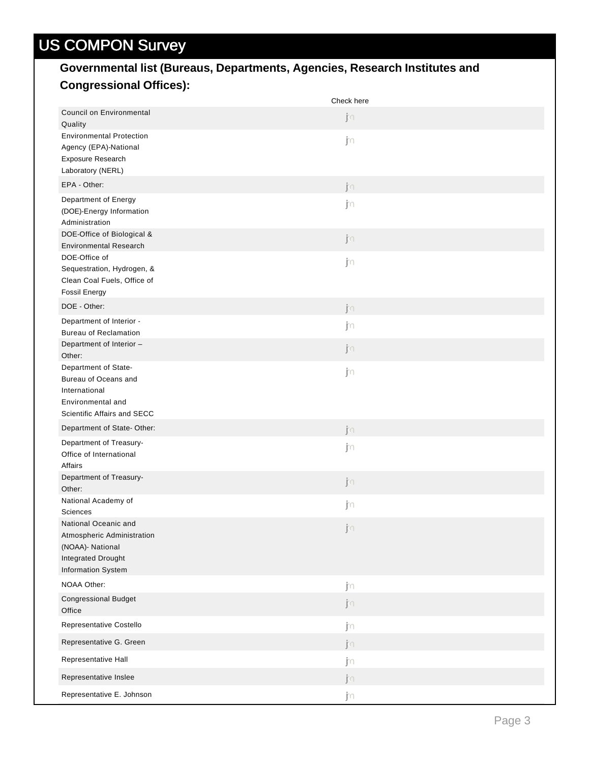### **Governmental list (Bureaus, Departments, Agencies, Research Institutes and Congressional Offices):**

|                                                                                                                    | Check here |
|--------------------------------------------------------------------------------------------------------------------|------------|
| <b>Council on Environmental</b><br>Quality                                                                         | jn         |
| <b>Environmental Protection</b><br>Agency (EPA)-National<br>Exposure Research<br>Laboratory (NERL)                 | jn         |
| EPA - Other:                                                                                                       | jn         |
| Department of Energy<br>(DOE)-Energy Information<br>Administration                                                 | jn         |
| DOE-Office of Biological &<br><b>Environmental Research</b>                                                        | jn         |
| DOE-Office of<br>Sequestration, Hydrogen, &<br>Clean Coal Fuels, Office of<br><b>Fossil Energy</b>                 | jn         |
| DOE - Other:                                                                                                       | jn         |
| Department of Interior -<br><b>Bureau of Reclamation</b>                                                           | jn         |
| Department of Interior -<br>Other:                                                                                 | jn         |
| Department of State-<br>Bureau of Oceans and<br>International<br>Environmental and<br>Scientific Affairs and SECC  | jn         |
| Department of State-Other:                                                                                         | jn         |
| Department of Treasury-<br>Office of International<br>Affairs                                                      | jn         |
| Department of Treasury-<br>Other:                                                                                  | jn         |
| National Academy of<br><b>Sciences</b>                                                                             | j∩         |
| National Oceanic and<br>Atmospheric Administration<br>(NOAA)- National<br>Integrated Drought<br>Information System | jn         |
| NOAA Other:                                                                                                        | jn         |
| <b>Congressional Budget</b><br>Office                                                                              | jn         |
| Representative Costello                                                                                            | jn         |
| Representative G. Green                                                                                            | jn         |
| Representative Hall                                                                                                | j٨         |
| Representative Inslee                                                                                              | jn         |
| Representative E. Johnson                                                                                          | j∩         |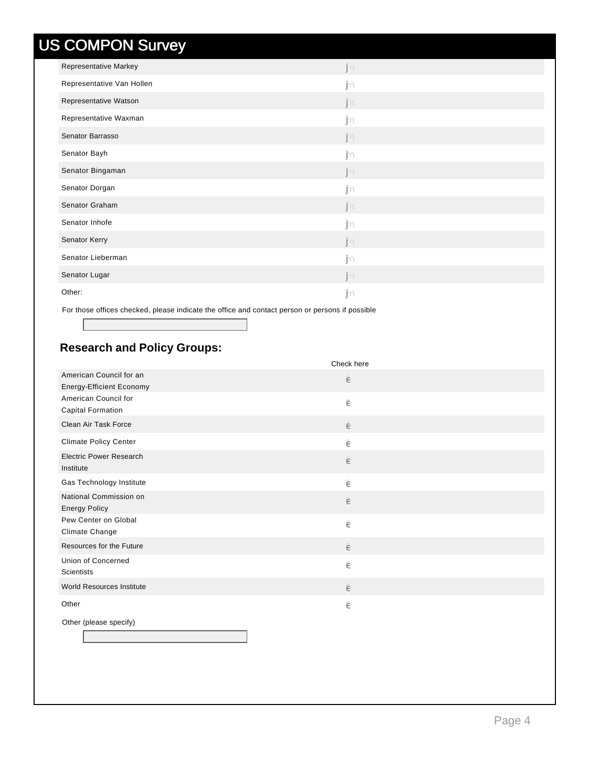| - -<br>$\frac{1}{2}$         |    |
|------------------------------|----|
| <b>Representative Markey</b> | jn |
| Representative Van Hollen    | jn |
| Representative Watson        | jn |
| Representative Waxman        | jn |
| Senator Barrasso             | jn |
| Senator Bayh                 | jn |
| Senator Bingaman             | jn |
| Senator Dorgan               | jn |
| Senator Graham               | jn |
| Senator Inhofe               | j∩ |
| Senator Kerry                | jn |
| Senator Lieberman            | j∩ |
| Senator Lugar                | jn |
| Other:                       | jn |
|                              |    |

For those offices checked, please indicate the office and contact person or persons if possible

#### **Research and Policy Groups:**

|                                                            | Check here |
|------------------------------------------------------------|------------|
| American Council for an<br><b>Energy-Efficient Economy</b> | ê          |
| American Council for                                       |            |
| <b>Capital Formation</b>                                   | ê          |
| Clean Air Task Force                                       | ê          |
| <b>Climate Policy Center</b>                               | ê          |
| <b>Electric Power Research</b><br>Institute                | ê          |
| Gas Technology Institute                                   | ê          |
| National Commission on<br><b>Energy Policy</b>             | ê          |
| Pew Center on Global<br>Climate Change                     | ê          |
| Resources for the Future                                   | ê          |
| Union of Concerned<br><b>Scientists</b>                    | ê          |
| World Resources Institute                                  | ê          |
| Other                                                      | ê          |
| Other (please specify)                                     |            |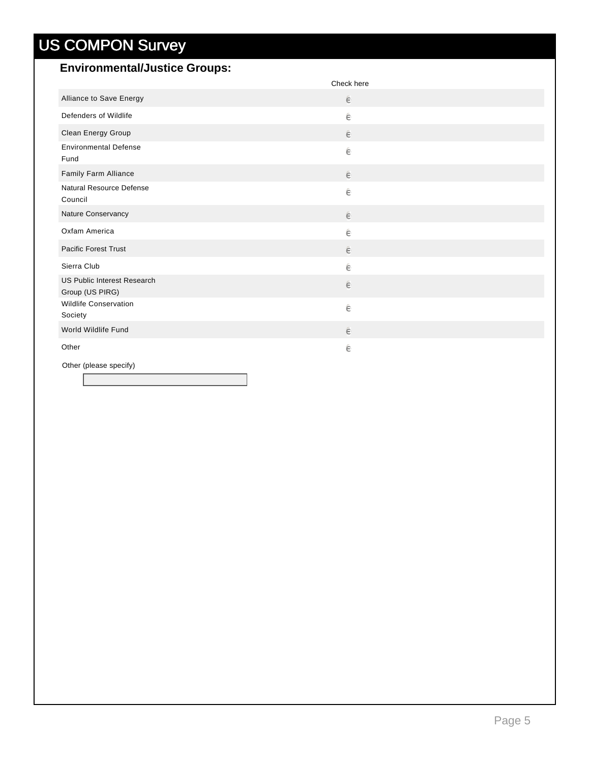#### **Environmental/Justice Groups:**

|                                                       | Check here |
|-------------------------------------------------------|------------|
| Alliance to Save Energy                               | $\in$      |
| Defenders of Wildlife                                 | ê          |
| Clean Energy Group                                    | ê          |
| <b>Environmental Defense</b><br>Fund                  | ê          |
| Family Farm Alliance                                  | ê          |
| Natural Resource Defense<br>Council                   | ê          |
| Nature Conservancy                                    | ê          |
| Oxfam America                                         | ê          |
| <b>Pacific Forest Trust</b>                           | ê          |
| Sierra Club                                           | ê          |
| <b>US Public Interest Research</b><br>Group (US PIRG) | ê          |
| <b>Wildlife Conservation</b><br>Society               | ê          |
| World Wildlife Fund                                   | ê          |
| Other                                                 | ê          |
| Other (please specify)                                |            |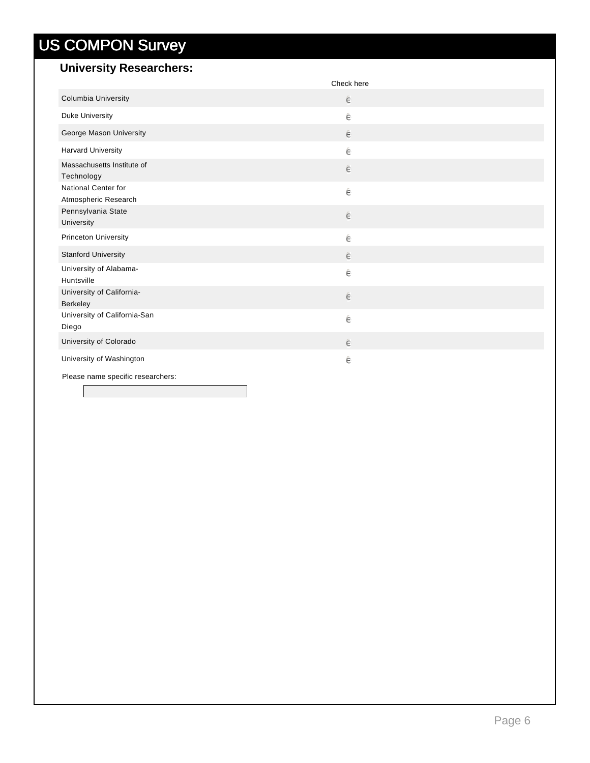### **University Researchers:**

|                                             | Check here |
|---------------------------------------------|------------|
| Columbia University                         | ê          |
| Duke University                             | ê          |
| George Mason University                     | ê          |
| <b>Harvard University</b>                   | ê          |
| Massachusetts Institute of<br>Technology    | $\in$      |
| National Center for<br>Atmospheric Research | ê          |
| Pennsylvania State<br>University            | $\in$      |
| <b>Princeton University</b>                 | ê          |
| <b>Stanford University</b>                  | $\in$      |
| University of Alabama-<br>Huntsville        | ê          |
| University of California-<br>Berkeley       | $\in$      |
| University of California-San<br>Diego       | ê          |
| University of Colorado                      | $\in$      |
| University of Washington                    | ê          |
| Please name specific researchers:           |            |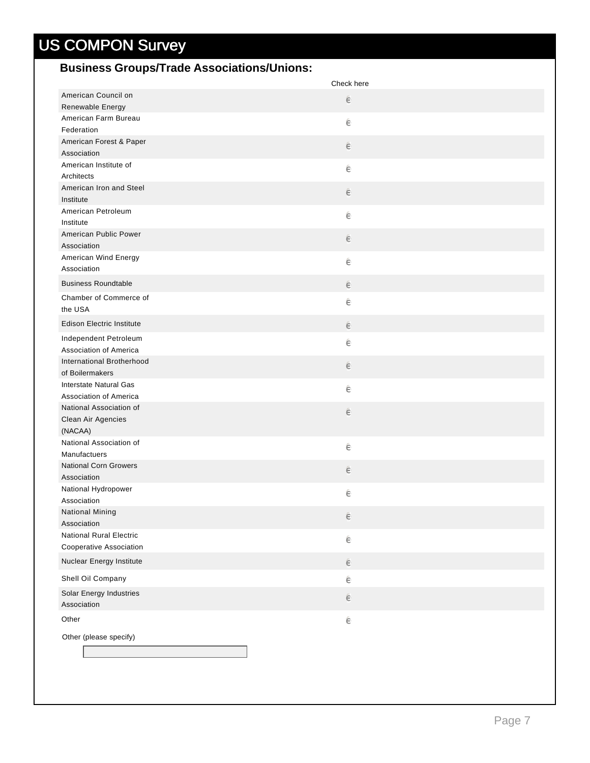### **Business Groups/Trade Associations/Unions:**

|                                      | Check here |
|--------------------------------------|------------|
| American Council on                  | e          |
| Renewable Energy                     |            |
| American Farm Bureau                 | ê          |
| Federation                           |            |
| American Forest & Paper              | e          |
| Association<br>American Institute of |            |
| Architects                           | ê          |
| American Iron and Steel              |            |
| Institute                            | e          |
| American Petroleum                   |            |
| Institute                            | ê          |
| American Public Power                | $\in$      |
| Association                          |            |
| American Wind Energy                 | ê          |
| Association                          |            |
| <b>Business Roundtable</b>           | e          |
| Chamber of Commerce of               | ê          |
| the USA                              |            |
| <b>Edison Electric Institute</b>     | e          |
| Independent Petroleum                | ê          |
| Association of America               |            |
| International Brotherhood            | $\in$      |
| of Boilermakers                      |            |
| Interstate Natural Gas               | ê          |
| Association of America               |            |
| National Association of              | e          |
| Clean Air Agencies<br>(NACAA)        |            |
| National Association of              |            |
| Manufactuers                         | ê          |
| <b>National Corn Growers</b>         |            |
| Association                          | $\in$      |
| National Hydropower                  | ê          |
| Association                          |            |
| National Mining                      | e          |
| Association                          |            |
| <b>National Rural Electric</b>       | ê          |
| Cooperative Association              |            |
| Nuclear Energy Institute             | ê          |
| Shell Oil Company                    | ê          |
| Solar Energy Industries              | $\in$      |
| Association                          |            |
| Other                                | ê          |
| Other (please specify)               |            |
|                                      |            |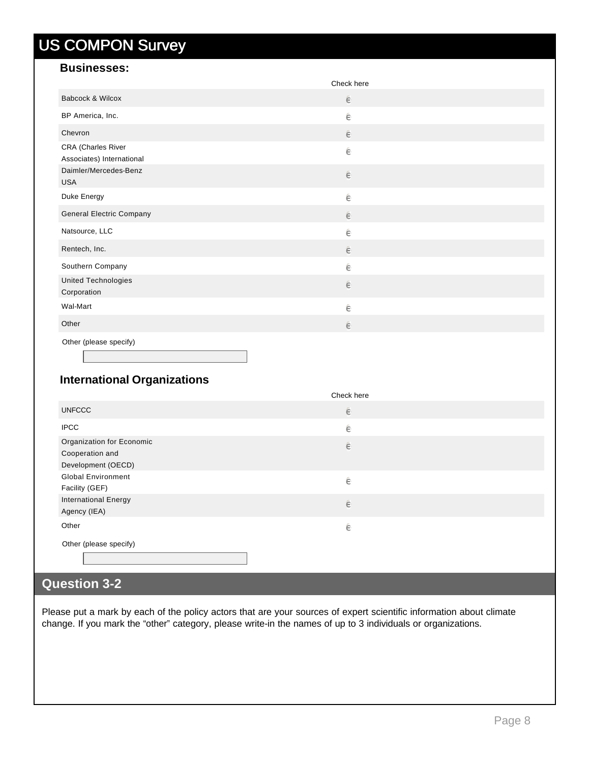#### **Businesses:**

|                                                 | Check here |
|-------------------------------------------------|------------|
| Babcock & Wilcox                                | $\in$      |
| BP America, Inc.                                | ê          |
| Chevron                                         | $\in$      |
| CRA (Charles River<br>Associates) International | ê          |
| Daimler/Mercedes-Benz<br><b>USA</b>             | $\in$      |
| Duke Energy                                     | ê          |
| <b>General Electric Company</b>                 | $\in$      |
| Natsource, LLC                                  | ê          |
| Rentech, Inc.                                   | $\in$      |
| Southern Company                                | $\in$      |
| United Technologies<br>Corporation              | $\in$      |
| Wal-Mart                                        | $\in$      |
| Other                                           | $\in$      |
| Other (please specify)                          |            |

#### **International Organizations**

|                                                                    | Check here |  |
|--------------------------------------------------------------------|------------|--|
| <b>UNFCCC</b>                                                      | ê          |  |
| <b>IPCC</b>                                                        | ê          |  |
| Organization for Economic<br>Cooperation and<br>Development (OECD) | $\in$      |  |
| <b>Global Environment</b><br>Facility (GEF)                        | ê          |  |
| <b>International Energy</b><br>Agency (IEA)                        | $\in$      |  |
| Other                                                              | ê          |  |
| Other (please specify)                                             |            |  |

### **Question 3-2**

Please put a mark by each of the policy actors that are your sources of expert scientific information about climate change. If you mark the "other" category, please write-in the names of up to 3 individuals or organizations.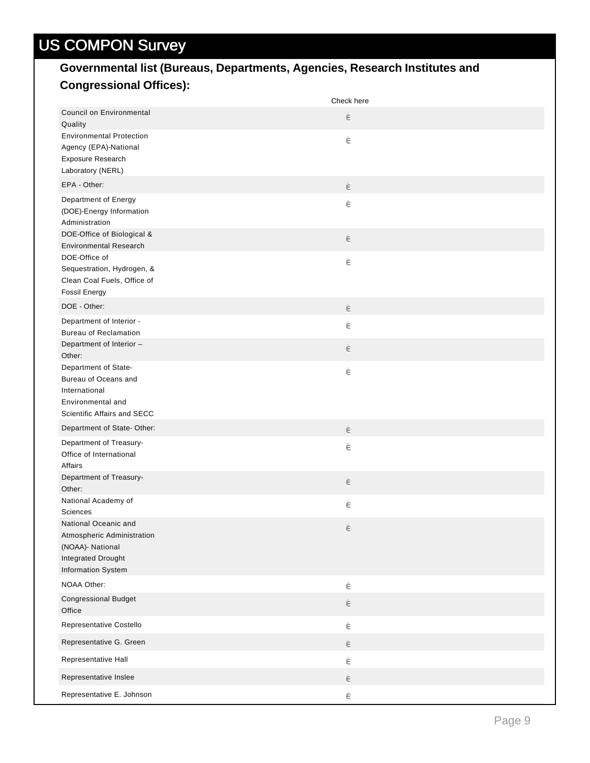### **Governmental list (Bureaus, Departments, Agencies, Research Institutes and Congressional Offices):**

|                                                                                                                    | Check here |
|--------------------------------------------------------------------------------------------------------------------|------------|
| <b>Council on Environmental</b><br>Quality                                                                         | e          |
| <b>Environmental Protection</b><br>Agency (EPA)-National<br>Exposure Research<br>Laboratory (NERL)                 | ê          |
| EPA - Other:                                                                                                       | e          |
| Department of Energy<br>(DOE)-Energy Information<br>Administration                                                 | ê          |
| DOE-Office of Biological &<br><b>Environmental Research</b>                                                        | e          |
| DOE-Office of<br>Sequestration, Hydrogen, &<br>Clean Coal Fuels, Office of<br><b>Fossil Energy</b>                 | ê          |
| DOE - Other:                                                                                                       | e          |
| Department of Interior -<br><b>Bureau of Reclamation</b>                                                           | ê          |
| Department of Interior -<br>Other:                                                                                 | $\epsilon$ |
| Department of State-<br>Bureau of Oceans and<br>International<br>Environmental and<br>Scientific Affairs and SECC  | ê          |
| Department of State-Other:                                                                                         | e          |
| Department of Treasury-<br>Office of International<br>Affairs                                                      | ê          |
| Department of Treasury-<br>Other:                                                                                  | e          |
| National Academy of<br>Sciences                                                                                    | ê          |
| National Oceanic and<br>Atmospheric Administration<br>(NOAA)- National<br>Integrated Drought<br>Information System | $\in$      |
| NOAA Other:                                                                                                        | $\in$      |
| <b>Congressional Budget</b><br>Office                                                                              | $\in$      |
| Representative Costello                                                                                            | ê          |
| Representative G. Green                                                                                            | e          |
| Representative Hall                                                                                                | ê          |
| Representative Inslee                                                                                              | ê          |
| Representative E. Johnson                                                                                          | ê          |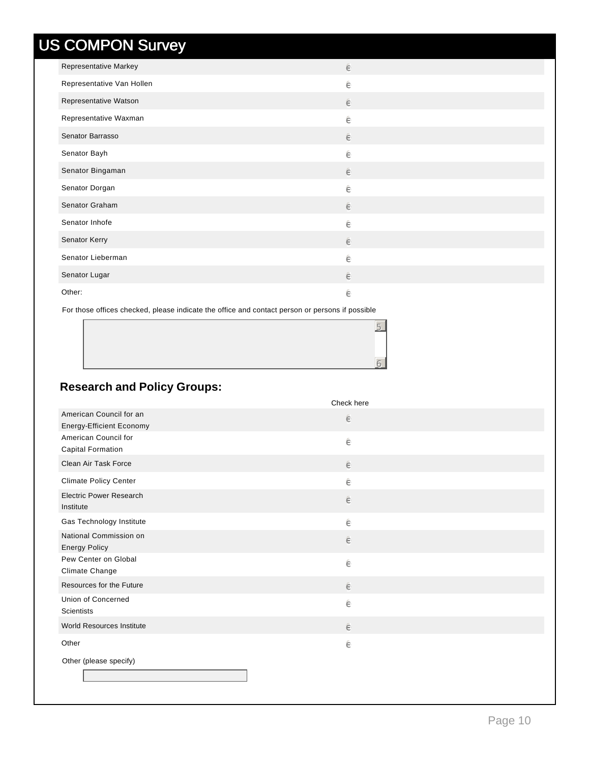| Representative Markey     | ê     |
|---------------------------|-------|
| Representative Van Hollen | ê     |
| Representative Watson     | ê     |
| Representative Waxman     | ê     |
| Senator Barrasso          | ê     |
| Senator Bayh              | ê     |
| Senator Bingaman          | ê     |
| Senator Dorgan            | ê     |
| Senator Graham            | ê     |
| Senator Inhofe            | ê     |
| Senator Kerry             | $\in$ |
| Senator Lieberman         | ê     |
| Senator Lugar             | ê     |
| Other:                    | ê     |

For those offices checked, please indicate the office and contact person or persons if possible

### **Research and Policy Groups:**

|                                                     | Check here |
|-----------------------------------------------------|------------|
| American Council for an<br>Energy-Efficient Economy | ê          |
| American Council for<br><b>Capital Formation</b>    | ê          |
| Clean Air Task Force                                | $\in$      |
| <b>Climate Policy Center</b>                        | ê          |
| <b>Electric Power Research</b><br>Institute         | ê          |
| Gas Technology Institute                            | ê          |
| National Commission on<br><b>Energy Policy</b>      | ê          |
| Pew Center on Global<br>Climate Change              | ê          |
| Resources for the Future                            | ê          |
| Union of Concerned<br><b>Scientists</b>             | ê          |
| World Resources Institute                           | ê          |
| Other                                               | ê          |
| Other (please specify)                              |            |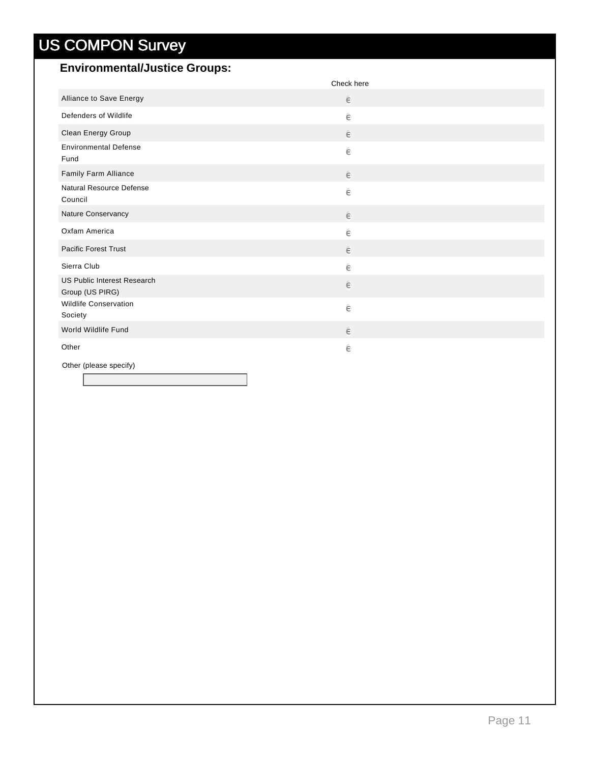#### **Environmental/Justice Groups:**

|                                                | Check here |
|------------------------------------------------|------------|
| Alliance to Save Energy                        | $\in$      |
| Defenders of Wildlife                          | ê          |
| Clean Energy Group                             | ê          |
| <b>Environmental Defense</b><br>Fund           | ê          |
| Family Farm Alliance                           | ê          |
| Natural Resource Defense<br>Council            | ê          |
| Nature Conservancy                             | $\in$      |
| Oxfam America                                  | ê          |
| <b>Pacific Forest Trust</b>                    | ê          |
| Sierra Club                                    | ê          |
| US Public Interest Research<br>Group (US PIRG) | ê          |
| <b>Wildlife Conservation</b><br>Society        | ê          |
| World Wildlife Fund                            | ê          |
| Other                                          | ê          |
| Other (please specify)                         |            |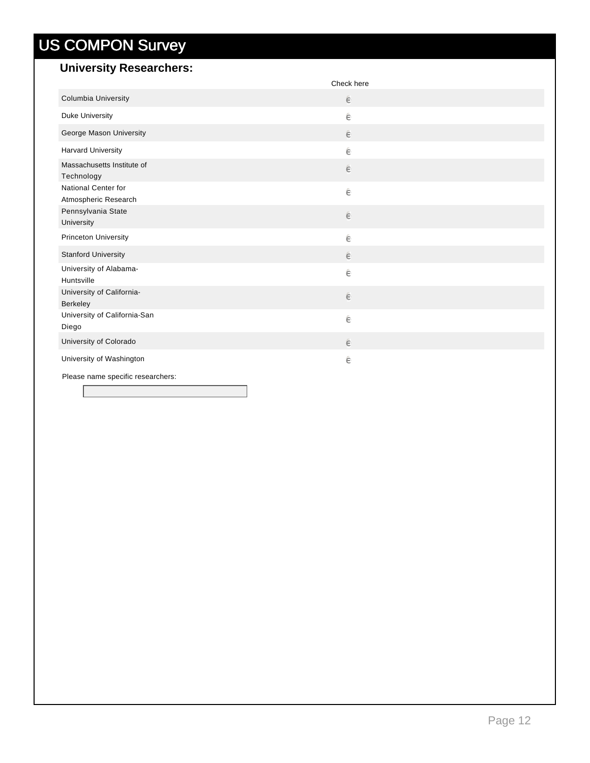### **University Researchers:**

|                                             | Check here |  |
|---------------------------------------------|------------|--|
| Columbia University                         | ê          |  |
| Duke University                             | ê          |  |
| George Mason University                     | ê          |  |
| <b>Harvard University</b>                   | ê          |  |
| Massachusetts Institute of<br>Technology    | ê          |  |
| National Center for<br>Atmospheric Research | ê          |  |
| Pennsylvania State<br>University            | ê          |  |
| <b>Princeton University</b>                 | ê          |  |
| <b>Stanford University</b>                  | ê          |  |
| University of Alabama-<br>Huntsville        | ê          |  |
| University of California-<br>Berkeley       | ê          |  |
| University of California-San<br>Diego       | ê          |  |
| University of Colorado                      | ê          |  |
| University of Washington                    | ê          |  |
| Please name specific researchers:           |            |  |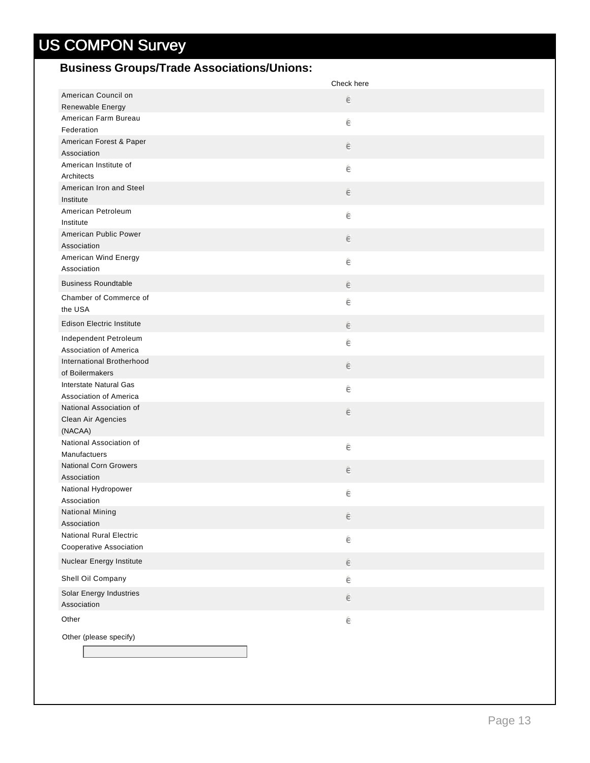#### **Business Groups/Trade Associations/Unions:**

|                                        | Check here |
|----------------------------------------|------------|
| American Council on                    | e          |
| Renewable Energy                       |            |
| American Farm Bureau                   | ê          |
| Federation                             |            |
| American Forest & Paper<br>Association | e          |
| American Institute of                  |            |
| Architects                             | ê          |
| American Iron and Steel                |            |
| Institute                              | e          |
| American Petroleum                     | ê          |
| Institute                              |            |
| American Public Power                  | ê          |
| Association                            |            |
| American Wind Energy                   | ê          |
| Association                            |            |
| <b>Business Roundtable</b>             | ê          |
| Chamber of Commerce of                 | ê          |
| the USA                                |            |
| <b>Edison Electric Institute</b>       | ê          |
| Independent Petroleum                  | ê          |
| Association of America                 |            |
| International Brotherhood              | ê          |
| of Boilermakers                        |            |
| Interstate Natural Gas                 | ê          |
| Association of America                 |            |
| National Association of                | ê          |
| Clean Air Agencies<br>(NACAA)          |            |
| National Association of                |            |
| Manufactuers                           | ê          |
| <b>National Corn Growers</b>           |            |
| Association                            | ê          |
| National Hydropower                    | ê          |
| Association                            |            |
| National Mining                        | ê          |
| Association                            |            |
| <b>National Rural Electric</b>         | ê          |
| Cooperative Association                |            |
| Nuclear Energy Institute               | e          |
| Shell Oil Company                      | ê          |
| Solar Energy Industries                |            |
| Association                            | e          |
| Other                                  | ê          |
| Other (please specify)                 |            |
|                                        |            |
|                                        |            |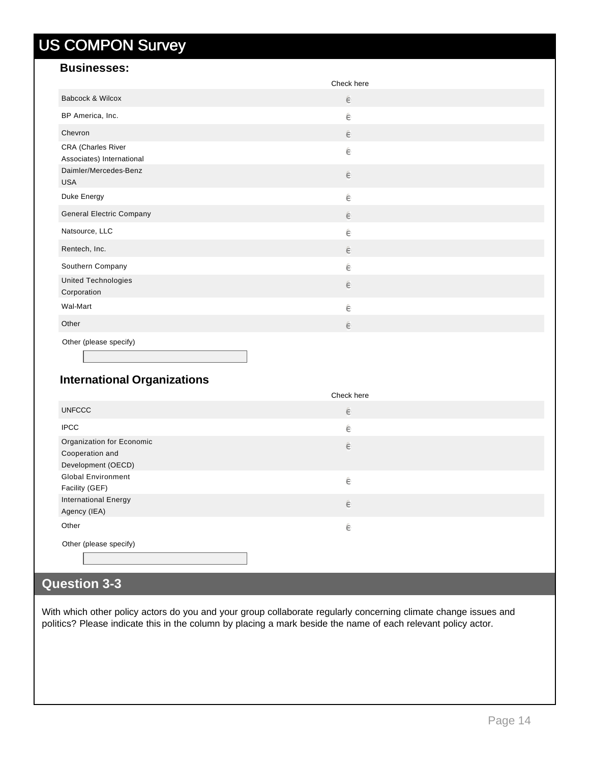#### **Businesses:**

|                                                 | Check here |  |
|-------------------------------------------------|------------|--|
| Babcock & Wilcox                                | ê          |  |
| BP America, Inc.                                | ê          |  |
| Chevron                                         | $\in$      |  |
| CRA (Charles River<br>Associates) International | ê          |  |
| Daimler/Mercedes-Benz<br><b>USA</b>             | $\in$      |  |
| Duke Energy                                     | ê          |  |
| <b>General Electric Company</b>                 | $\in$      |  |
| Natsource, LLC                                  | ê          |  |
| Rentech, Inc.                                   | $\in$      |  |
| Southern Company                                | ê          |  |
| <b>United Technologies</b><br>Corporation       | $\in$      |  |
| Wal-Mart                                        | ê          |  |
| Other                                           | $\in$      |  |
| Other (please specify)                          |            |  |

#### **International Organizations**

|                                                                    | Check here |  |
|--------------------------------------------------------------------|------------|--|
| <b>UNFCCC</b>                                                      | $\epsilon$ |  |
| <b>IPCC</b>                                                        | ê          |  |
| Organization for Economic<br>Cooperation and<br>Development (OECD) | $\in$      |  |
| <b>Global Environment</b><br>Facility (GEF)                        | ê          |  |
| <b>International Energy</b><br>Agency (IEA)                        | $\in$      |  |
| Other                                                              | ê          |  |
| Other (please specify)                                             |            |  |

### **Question 3-3**

With which other policy actors do you and your group collaborate regularly concerning climate change issues and politics? Please indicate this in the column by placing a mark beside the name of each relevant policy actor.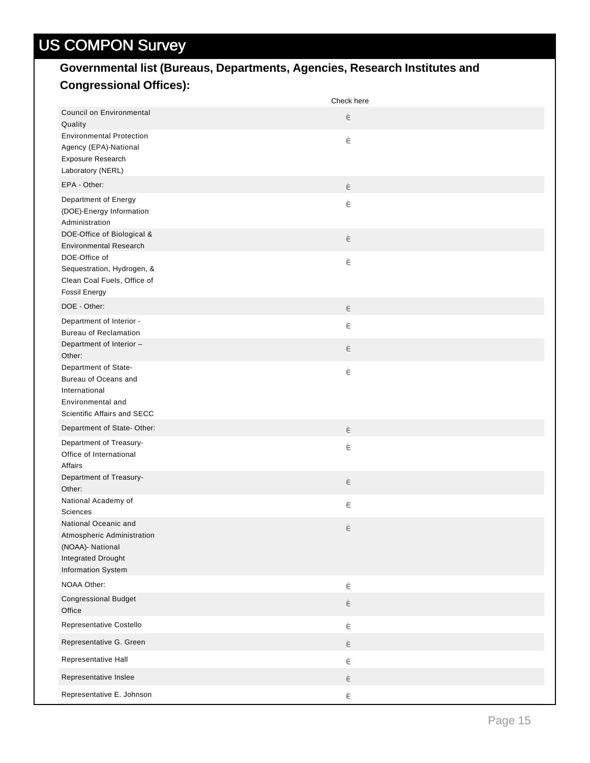### **Governmental list (Bureaus, Departments, Agencies, Research Institutes and Congressional Offices):**

|                                                                                                                    | Check here |
|--------------------------------------------------------------------------------------------------------------------|------------|
| <b>Council on Environmental</b><br>Quality                                                                         | e          |
| <b>Environmental Protection</b><br>Agency (EPA)-National<br>Exposure Research<br>Laboratory (NERL)                 | ê          |
| EPA - Other:                                                                                                       | e          |
| Department of Energy<br>(DOE)-Energy Information<br>Administration                                                 | ê          |
| DOE-Office of Biological &<br><b>Environmental Research</b>                                                        | e          |
| DOE-Office of<br>Sequestration, Hydrogen, &<br>Clean Coal Fuels, Office of<br><b>Fossil Energy</b>                 | ê          |
| DOE - Other:                                                                                                       | e          |
| Department of Interior -<br><b>Bureau of Reclamation</b>                                                           | ê          |
| Department of Interior -<br>Other:                                                                                 | $\epsilon$ |
| Department of State-<br>Bureau of Oceans and<br>International<br>Environmental and<br>Scientific Affairs and SECC  | ê          |
| Department of State-Other:                                                                                         | e          |
| Department of Treasury-<br>Office of International<br>Affairs                                                      | ê          |
| Department of Treasury-<br>Other:                                                                                  | e          |
| National Academy of<br>Sciences                                                                                    | ê          |
| National Oceanic and<br>Atmospheric Administration<br>(NOAA)- National<br>Integrated Drought<br>Information System | $\in$      |
| NOAA Other:                                                                                                        | $\in$      |
| <b>Congressional Budget</b><br>Office                                                                              | $\in$      |
| Representative Costello                                                                                            | ê          |
| Representative G. Green                                                                                            | e          |
| Representative Hall                                                                                                | ê          |
| Representative Inslee                                                                                              | ê          |
| Representative E. Johnson                                                                                          | ê          |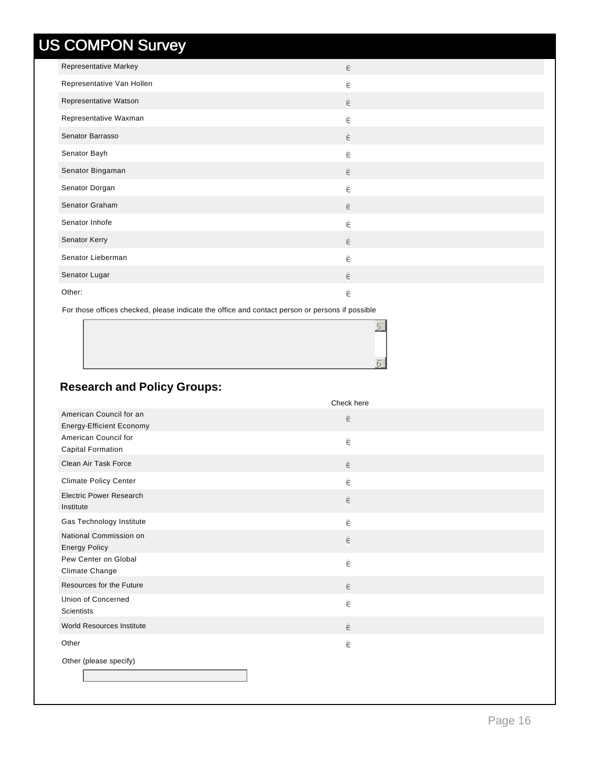| <b>Representative Markey</b> | ê |
|------------------------------|---|
| Representative Van Hollen    | ê |
| Representative Watson        | ê |
| Representative Waxman        | ê |
| Senator Barrasso             | ê |
| Senator Bayh                 | ê |
| Senator Bingaman             | ê |
| Senator Dorgan               | ê |
| Senator Graham               | ê |
| Senator Inhofe               | ê |
| Senator Kerry                | ê |
| Senator Lieberman            | ê |
| Senator Lugar                | ê |
| Other:                       | ê |

For those offices checked, please indicate the office and contact person or persons if possible

### **Research and Policy Groups:**

|                                                            | Check here |
|------------------------------------------------------------|------------|
| American Council for an<br><b>Energy-Efficient Economy</b> | ê          |
| American Council for<br><b>Capital Formation</b>           | ê          |
| Clean Air Task Force                                       | $\in$      |
| <b>Climate Policy Center</b>                               | ê          |
| <b>Electric Power Research</b><br>Institute                | $\in$      |
| Gas Technology Institute                                   | ê          |
| National Commission on<br><b>Energy Policy</b>             | ê          |
| Pew Center on Global<br>Climate Change                     | ê          |
| Resources for the Future                                   | ê          |
| Union of Concerned<br><b>Scientists</b>                    | ê          |
| World Resources Institute                                  | ê          |
| Other                                                      | ê          |
| Other (please specify)                                     |            |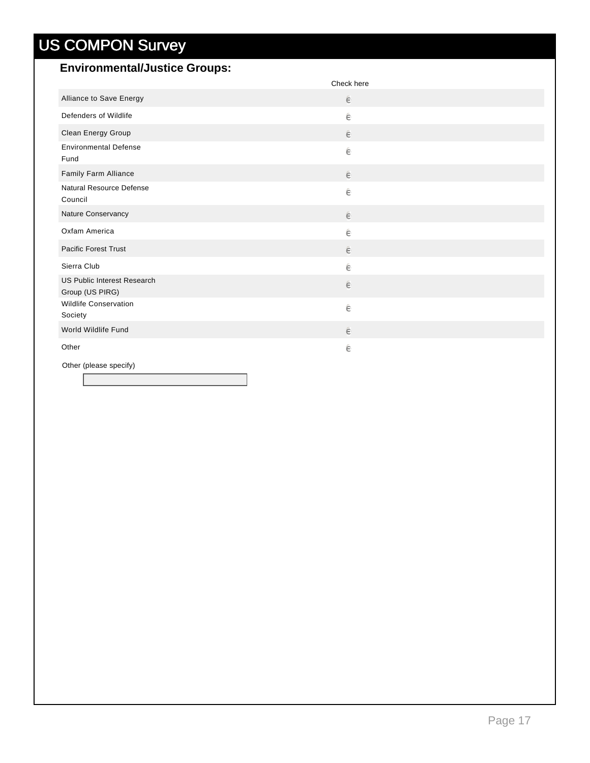#### **Environmental/Justice Groups:**

|                                                | Check here |
|------------------------------------------------|------------|
| Alliance to Save Energy                        | ê          |
| Defenders of Wildlife                          | ê          |
| Clean Energy Group                             | ê          |
| <b>Environmental Defense</b><br>Fund           | ê          |
| Family Farm Alliance                           | $\in$      |
| Natural Resource Defense<br>Council            | ê          |
| Nature Conservancy                             | ê          |
| Oxfam America                                  | ê          |
| <b>Pacific Forest Trust</b>                    | ê          |
| Sierra Club                                    | ê          |
| US Public Interest Research<br>Group (US PIRG) | ê          |
| <b>Wildlife Conservation</b><br>Society        | ê          |
| World Wildlife Fund                            | ê          |
| Other                                          | ê          |
| Other (please specify)                         |            |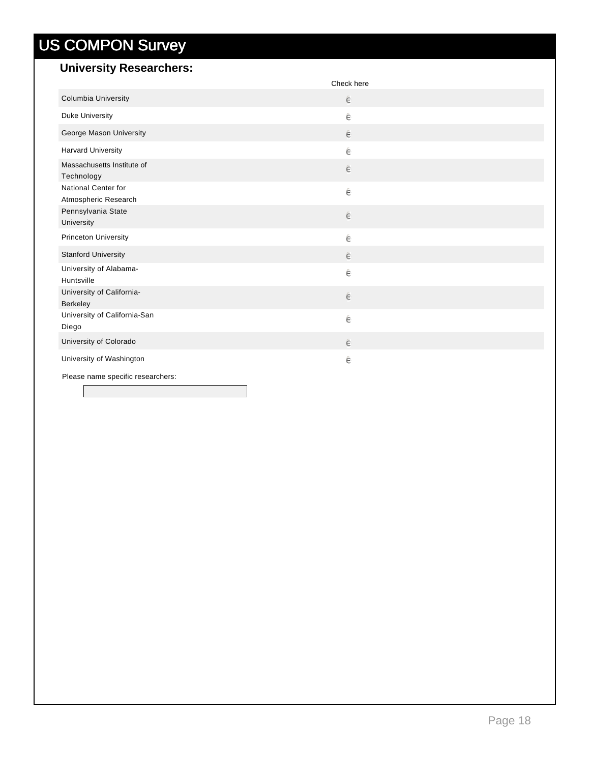### **University Researchers:**

|                                             | Check here |
|---------------------------------------------|------------|
| Columbia University                         | ê          |
| Duke University                             | ê          |
| George Mason University                     | $\in$      |
| <b>Harvard University</b>                   | ê          |
| Massachusetts Institute of<br>Technology    | $\in$      |
| National Center for<br>Atmospheric Research | ê          |
| Pennsylvania State<br>University            | $\in$      |
| <b>Princeton University</b>                 | ê          |
| <b>Stanford University</b>                  | $\in$      |
| University of Alabama-<br>Huntsville        | ê          |
| University of California-<br>Berkeley       | $\in$      |
| University of California-San<br>Diego       | ê          |
| University of Colorado                      | ê          |
| University of Washington                    | ê          |
| Please name specific researchers:           |            |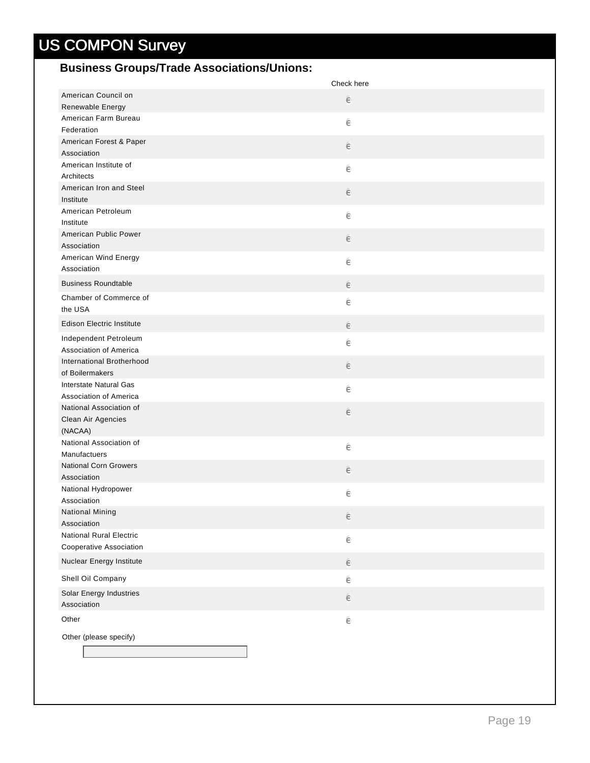### **Business Groups/Trade Associations/Unions:**

|                                               | Check here |
|-----------------------------------------------|------------|
| American Council on                           | e          |
| Renewable Energy                              |            |
| American Farm Bureau                          | ê          |
| Federation                                    |            |
| American Forest & Paper<br>Association        | e          |
| American Institute of                         |            |
| Architects                                    | ê          |
| American Iron and Steel                       |            |
| Institute                                     | e          |
| American Petroleum                            | ê          |
| Institute                                     |            |
| American Public Power                         | $\in$      |
| Association                                   |            |
| American Wind Energy                          | ê          |
| Association                                   |            |
| <b>Business Roundtable</b>                    | e          |
| Chamber of Commerce of                        | ê          |
| the USA                                       |            |
| <b>Edison Electric Institute</b>              | e          |
| Independent Petroleum                         | ê          |
| Association of America                        |            |
| International Brotherhood                     | $\epsilon$ |
| of Boilermakers                               |            |
| Interstate Natural Gas                        | ê          |
| Association of America                        |            |
| National Association of<br>Clean Air Agencies | e          |
| (NACAA)                                       |            |
| National Association of                       |            |
| Manufactuers                                  | ê          |
| <b>National Corn Growers</b>                  | $\epsilon$ |
| Association                                   |            |
| National Hydropower                           | ê          |
| Association                                   |            |
| National Mining                               | e          |
| Association                                   |            |
| <b>National Rural Electric</b>                | ê          |
| Cooperative Association                       |            |
| Nuclear Energy Institute                      | ê          |
| Shell Oil Company                             | ê          |
| Solar Energy Industries                       |            |
| Association                                   | $\in$      |
| Other                                         | ê          |
|                                               |            |
| Other (please specify)                        |            |
|                                               |            |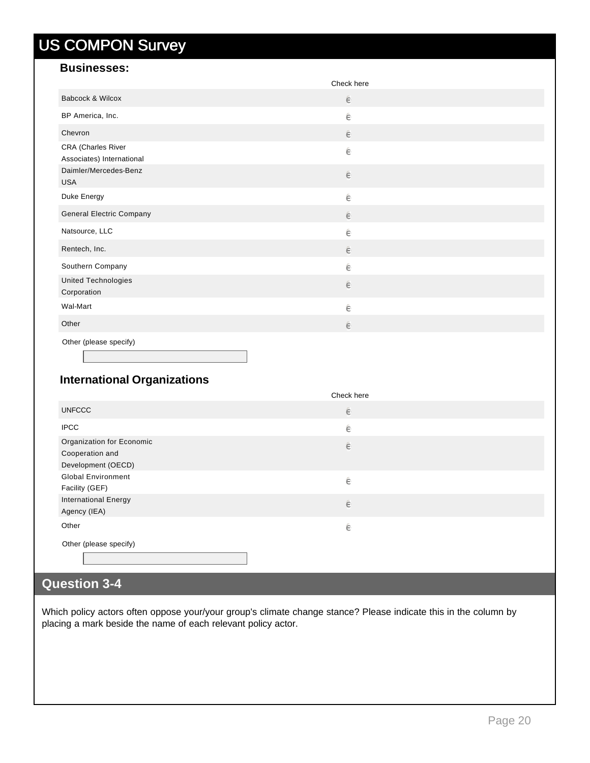#### **Businesses:**

|                                                 | Check here |
|-------------------------------------------------|------------|
| Babcock & Wilcox                                | $\in$      |
| BP America, Inc.                                | ê          |
| Chevron                                         | $\in$      |
| CRA (Charles River<br>Associates) International | ê          |
| Daimler/Mercedes-Benz<br><b>USA</b>             | $\in$      |
| Duke Energy                                     | ê          |
| <b>General Electric Company</b>                 | $\in$      |
| Natsource, LLC                                  | ê          |
| Rentech, Inc.                                   | $\in$      |
| Southern Company                                | ê          |
| United Technologies<br>Corporation              | $\in$      |
| Wal-Mart                                        | ê          |
| Other                                           | $\in$      |
| Other (please specify)                          |            |

### **International Organizations**

|                                                                    | Check here |
|--------------------------------------------------------------------|------------|
| <b>UNFCCC</b>                                                      | ê          |
| <b>IPCC</b>                                                        | ê          |
| Organization for Economic<br>Cooperation and<br>Development (OECD) | $\in$      |
| <b>Global Environment</b><br>Facility (GEF)                        | ê          |
| <b>International Energy</b><br>Agency (IEA)                        | ê          |
| Other                                                              | ê          |
| Other (please specify)                                             |            |

### **Question 3-4**

Which policy actors often oppose your/your group's climate change stance? Please indicate this in the column by placing a mark beside the name of each relevant policy actor.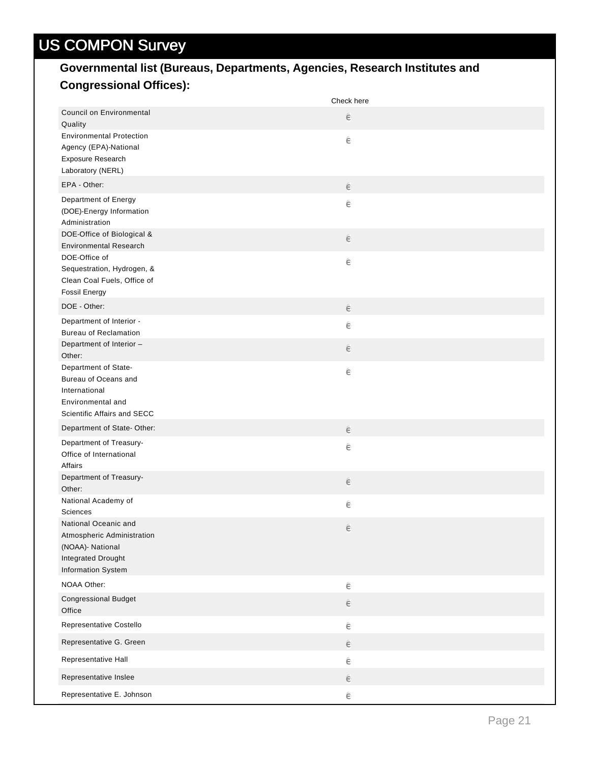### **Governmental list (Bureaus, Departments, Agencies, Research Institutes and Congressional Offices):**

|                                                                                                                    | Check here |
|--------------------------------------------------------------------------------------------------------------------|------------|
| <b>Council on Environmental</b><br>Quality                                                                         | e          |
| <b>Environmental Protection</b><br>Agency (EPA)-National<br>Exposure Research<br>Laboratory (NERL)                 | ê          |
| EPA - Other:                                                                                                       | e          |
| Department of Energy<br>(DOE)-Energy Information<br>Administration                                                 | ê          |
| DOE-Office of Biological &<br><b>Environmental Research</b>                                                        | e          |
| DOE-Office of<br>Sequestration, Hydrogen, &<br>Clean Coal Fuels, Office of<br><b>Fossil Energy</b>                 | ê          |
| DOE - Other:                                                                                                       | e          |
| Department of Interior -<br><b>Bureau of Reclamation</b>                                                           | ê          |
| Department of Interior -<br>Other:                                                                                 | $\epsilon$ |
| Department of State-<br>Bureau of Oceans and<br>International<br>Environmental and<br>Scientific Affairs and SECC  | ê          |
| Department of State-Other:                                                                                         | e          |
| Department of Treasury-<br>Office of International<br>Affairs                                                      | ê          |
| Department of Treasury-<br>Other:                                                                                  | e          |
| National Academy of<br>Sciences                                                                                    | ê          |
| National Oceanic and<br>Atmospheric Administration<br>(NOAA)- National<br>Integrated Drought<br>Information System | $\in$      |
| NOAA Other:                                                                                                        | $\in$      |
| <b>Congressional Budget</b><br>Office                                                                              | $\in$      |
| Representative Costello                                                                                            | ê          |
| Representative G. Green                                                                                            | e          |
| Representative Hall                                                                                                | ê          |
| Representative Inslee                                                                                              | ê          |
| Representative E. Johnson                                                                                          | ê          |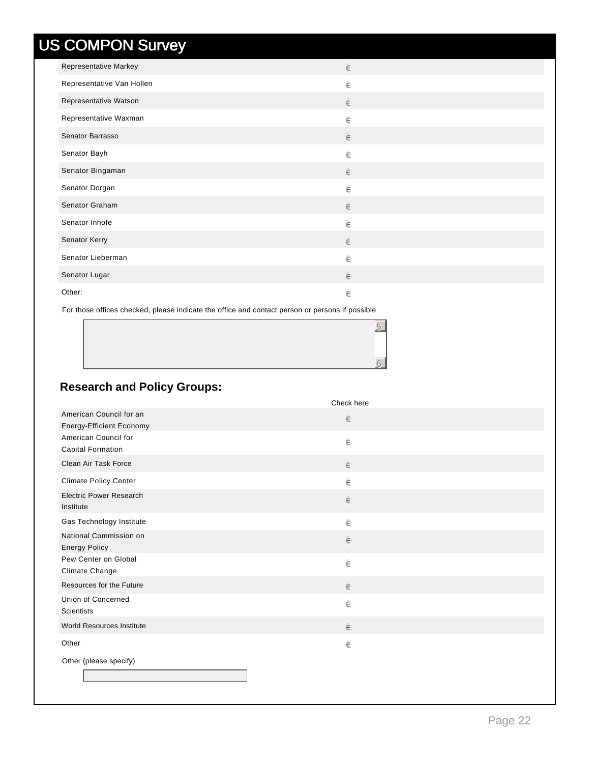| Representative Markey     | ê     |
|---------------------------|-------|
| Representative Van Hollen | ê     |
| Representative Watson     | ê     |
| Representative Waxman     | ê     |
| Senator Barrasso          | ê     |
| Senator Bayh              | ê     |
| Senator Bingaman          | ê     |
| Senator Dorgan            | ê     |
| Senator Graham            | ê     |
| Senator Inhofe            | ê     |
| Senator Kerry             | $\in$ |
| Senator Lieberman         | ê     |
| Senator Lugar             | ê     |
| Other:                    | ê     |

For those offices checked, please indicate the office and contact person or persons if possible

#### **Research and Policy Groups:**

|                                 | Check here |
|---------------------------------|------------|
| American Council for an         | ê          |
| <b>Energy-Efficient Economy</b> |            |
| American Council for            | ê          |
| <b>Capital Formation</b>        |            |
| Clean Air Task Force            | $\in$      |
| <b>Climate Policy Center</b>    | ê          |
| <b>Electric Power Research</b>  | ê          |
| Institute                       |            |
| Gas Technology Institute        | ê          |
| National Commission on          | ê          |
| <b>Energy Policy</b>            |            |
| Pew Center on Global            | ê          |
| Climate Change                  |            |
| Resources for the Future        | ê          |
| Union of Concerned              | ê          |
| <b>Scientists</b>               |            |
| World Resources Institute       | ê          |
| Other                           | ê          |
| Other (please specify)          |            |
|                                 |            |
|                                 |            |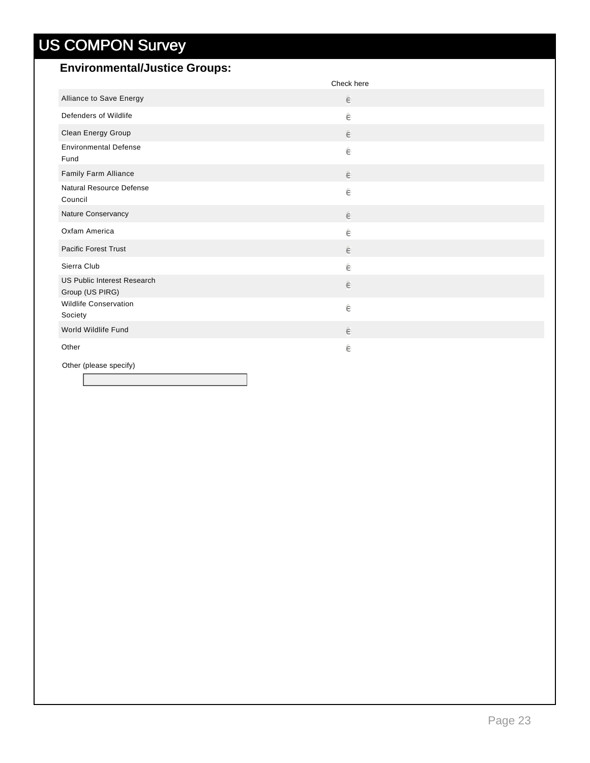#### **Environmental/Justice Groups:**

|                                                | Check here |
|------------------------------------------------|------------|
| Alliance to Save Energy                        | ê          |
| Defenders of Wildlife                          | ê          |
| Clean Energy Group                             | ê          |
| <b>Environmental Defense</b><br>Fund           | ê          |
| Family Farm Alliance                           | $\in$      |
| Natural Resource Defense<br>Council            | ê          |
| Nature Conservancy                             | ê          |
| Oxfam America                                  | ê          |
| <b>Pacific Forest Trust</b>                    | ê          |
| Sierra Club                                    | ê          |
| US Public Interest Research<br>Group (US PIRG) | ê          |
| <b>Wildlife Conservation</b><br>Society        | ê          |
| World Wildlife Fund                            | ê          |
| Other                                          | ê          |
| Other (please specify)                         |            |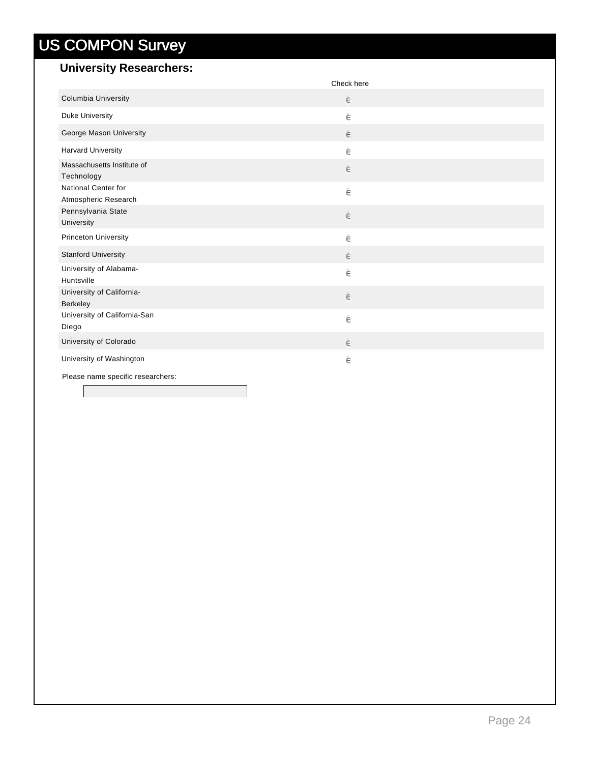### **University Researchers:**

|                                             | Check here |  |
|---------------------------------------------|------------|--|
| Columbia University                         | $\in$      |  |
| Duke University                             | ê          |  |
| George Mason University                     | $\in$      |  |
| <b>Harvard University</b>                   | ê          |  |
| Massachusetts Institute of<br>Technology    | $\in$      |  |
| National Center for<br>Atmospheric Research | ê          |  |
| Pennsylvania State<br>University            | ê          |  |
| <b>Princeton University</b>                 | ê          |  |
| <b>Stanford University</b>                  | ê          |  |
| University of Alabama-<br>Huntsville        | ê          |  |
| University of California-<br>Berkeley       | $\in$      |  |
| University of California-San<br>Diego       | ê          |  |
| University of Colorado                      | $\in$      |  |
| University of Washington                    | ê          |  |
| Please name specific researchers:           |            |  |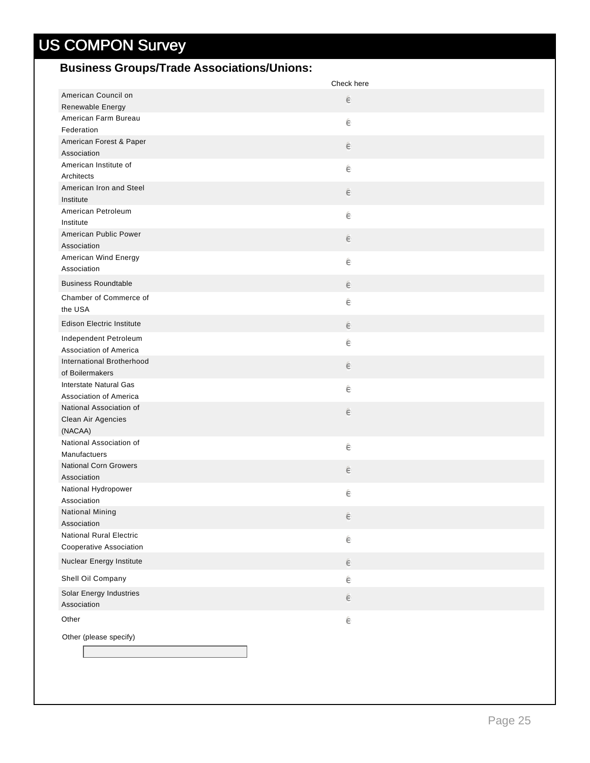#### **Business Groups/Trade Associations/Unions:**

|                                      | Check here |
|--------------------------------------|------------|
| American Council on                  | e          |
| Renewable Energy                     |            |
| American Farm Bureau                 | ê          |
| Federation                           |            |
| American Forest & Paper              | e          |
| Association<br>American Institute of |            |
| Architects                           | ê          |
| American Iron and Steel              |            |
| Institute                            | e          |
| American Petroleum                   |            |
| Institute                            | ê          |
| American Public Power                | $\in$      |
| Association                          |            |
| American Wind Energy                 | ê          |
| Association                          |            |
| <b>Business Roundtable</b>           | e          |
| Chamber of Commerce of               | ê          |
| the USA                              |            |
| <b>Edison Electric Institute</b>     | e          |
| Independent Petroleum                | ê          |
| Association of America               |            |
| International Brotherhood            | $\in$      |
| of Boilermakers                      |            |
| Interstate Natural Gas               | ê          |
| Association of America               |            |
| National Association of              | e          |
| Clean Air Agencies                   |            |
| (NACAA)<br>National Association of   |            |
| Manufactuers                         | ê          |
| <b>National Corn Growers</b>         |            |
| Association                          | $\in$      |
| National Hydropower                  |            |
| Association                          | ê          |
| National Mining                      | e          |
| Association                          |            |
| <b>National Rural Electric</b>       | ê          |
| Cooperative Association              |            |
| Nuclear Energy Institute             | ê          |
| Shell Oil Company                    | ê          |
| Solar Energy Industries              | $\in$      |
| Association                          |            |
| Other                                | ê          |
| Other (please specify)               |            |
|                                      |            |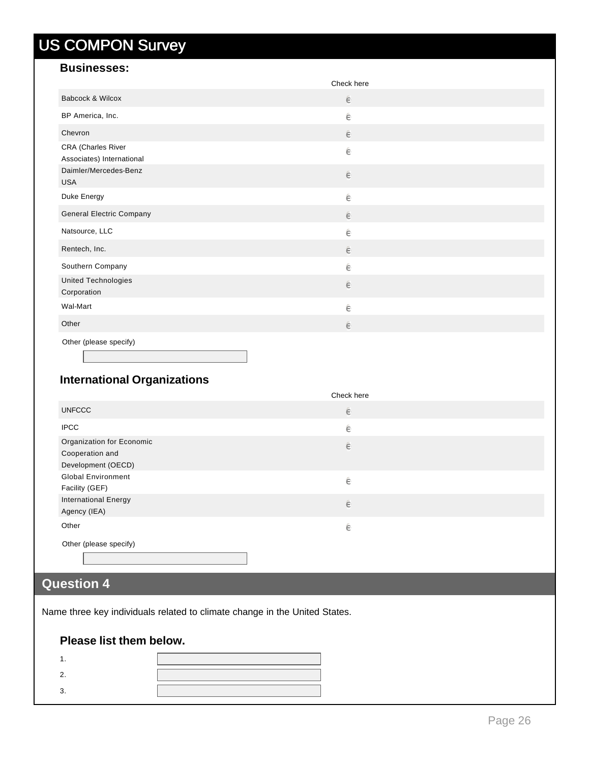#### **Businesses:**

|                                                 | Check here |  |
|-------------------------------------------------|------------|--|
| Babcock & Wilcox                                | $\in$      |  |
| BP America, Inc.                                | ê          |  |
| Chevron                                         | $\in$      |  |
| CRA (Charles River<br>Associates) International | ê          |  |
| Daimler/Mercedes-Benz<br><b>USA</b>             | $\in$      |  |
| Duke Energy                                     | $\in$      |  |
| <b>General Electric Company</b>                 | $\in$      |  |
| Natsource, LLC                                  | ê          |  |
| Rentech, Inc.                                   | $\in$      |  |
| Southern Company                                | ê          |  |
| <b>United Technologies</b><br>Corporation       | $\in$      |  |
| Wal-Mart                                        | ê          |  |
| Other                                           | $\in$      |  |
| Other (please specify)                          |            |  |

### **International Organizations**

|                                                                    | Check here |
|--------------------------------------------------------------------|------------|
| <b>UNFCCC</b>                                                      | $\in$      |
| <b>IPCC</b>                                                        | ê          |
| Organization for Economic<br>Cooperation and<br>Development (OECD) | $\in$      |
| <b>Global Environment</b><br>Facility (GEF)                        | ê          |
| <b>International Energy</b><br>Agency (IEA)                        | $\in$      |
| Other                                                              | ê          |
| Other (please specify)                                             |            |

### **Question 4**

Name three key individuals related to climate change in the United States.

#### **Please list them below.**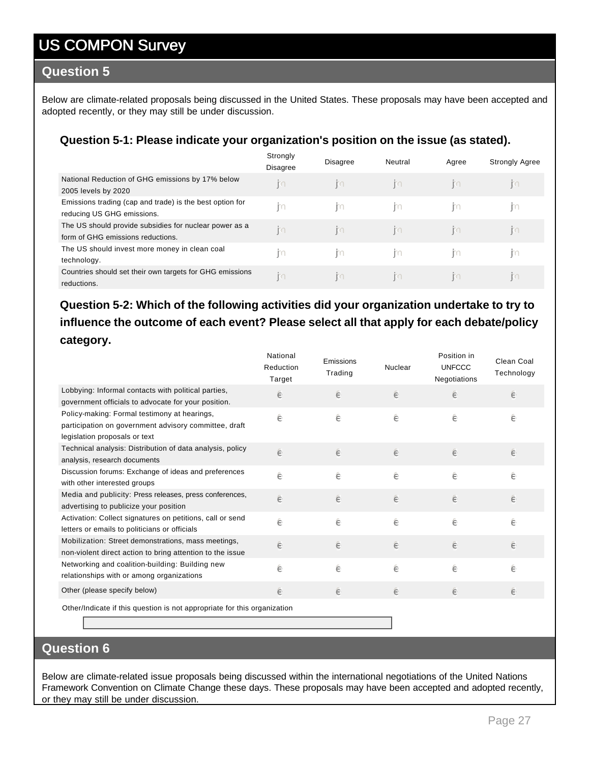#### **Question 5**

Below are climate-related proposals being discussed in the United States. These proposals may have been accepted and adopted recently, or they may still be under discussion.

#### **Question 5-1: Please indicate your organization's position on the issue (as stated).**

|                                                                                             | Strongly<br><b>Disagree</b> | <b>Disagree</b> | Neutral        | Agree | <b>Strongly Agree</b> |
|---------------------------------------------------------------------------------------------|-----------------------------|-----------------|----------------|-------|-----------------------|
| National Reduction of GHG emissions by 17% below<br>2005 levels by 2020                     | $\mathbb{E}$                | m               | $\mathbb{R}^n$ | m     | $\mathbb{R}^n$        |
| Emissions trading (cap and trade) is the best option for<br>reducing US GHG emissions.      | m                           | m               | m              | m     | m                     |
| The US should provide subsidies for nuclear power as a<br>form of GHG emissions reductions. | m                           | R <sub>1</sub>  | $\mathbb{E}$   | m     | $\mathbb{R}^n$        |
| The US should invest more money in clean coal<br>technology.                                | m                           | m               | m              | m     | -m                    |
| Countries should set their own targets for GHG emissions<br>reductions.                     | m                           | m               | m              | m     | m                     |

#### **Question 5-2: Which of the following activities did your organization undertake to try to influence the outcome of each event? Please select all that apply for each debate/policy category.**

|                                                                                                                                        | National<br>Reduction<br>Target | Emissions<br>Trading | Nuclear | Position in<br><b>UNFCCC</b><br>Negotiations | Clean Coal<br>Technology |
|----------------------------------------------------------------------------------------------------------------------------------------|---------------------------------|----------------------|---------|----------------------------------------------|--------------------------|
| Lobbying: Informal contacts with political parties,<br>government officials to advocate for your position.                             | ê                               | ê                    | ê       | ê                                            | ê                        |
| Policy-making: Formal testimony at hearings,<br>participation on government advisory committee, draft<br>legislation proposals or text | ê                               | ê                    | ê       | ê                                            | ê                        |
| Technical analysis: Distribution of data analysis, policy<br>analysis, research documents                                              | ê                               | ê                    | ê       | ê                                            | ê                        |
| Discussion forums: Exchange of ideas and preferences<br>with other interested groups                                                   | ê                               | ê                    | ê       | ê                                            | ê                        |
| Media and publicity: Press releases, press conferences,<br>advertising to publicize your position                                      | ê                               | ê                    | ê       | e                                            | ê                        |
| Activation: Collect signatures on petitions, call or send<br>letters or emails to politicians or officials                             | ê                               | ê                    | ê       | ê                                            | ê                        |
| Mobilization: Street demonstrations, mass meetings,<br>non-violent direct action to bring attention to the issue                       | ê                               | ê                    | ê       | e                                            | ê                        |
| Networking and coalition-building: Building new<br>relationships with or among organizations                                           | ê                               | ê                    | ê       | ê                                            | ê                        |
| Other (please specify below)                                                                                                           | ê                               | ê                    | ê       | e                                            | ê                        |
| Other/Indicate if this question is not appropriate for this organization                                                               |                                 |                      |         |                                              |                          |

#### **Question 6**

Below are climate-related issue proposals being discussed within the international negotiations of the United Nations Framework Convention on Climate Change these days. These proposals may have been accepted and adopted recently, or they may still be under discussion.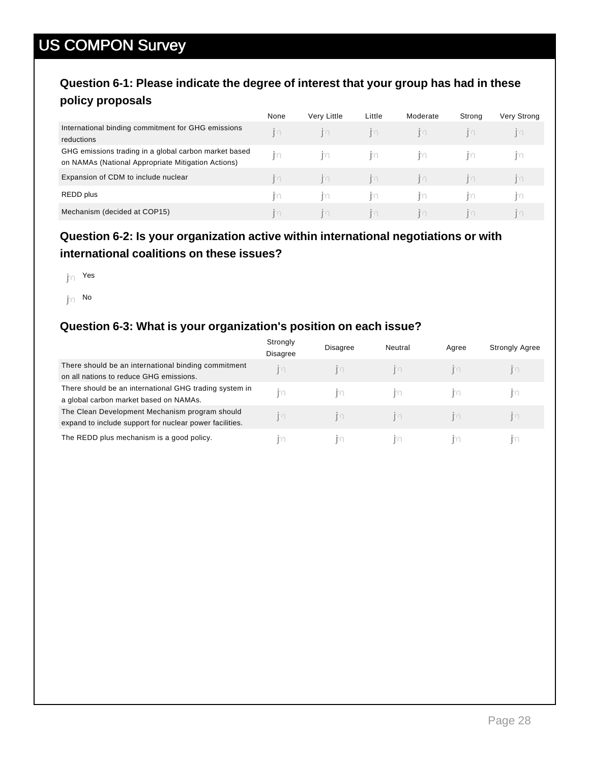#### **Question 6-1: Please indicate the degree of interest that your group has had in these policy proposals**

|                                                                                                             | None      | Very Little | Little | Moderate       | Strong | Very Strong |
|-------------------------------------------------------------------------------------------------------------|-----------|-------------|--------|----------------|--------|-------------|
| International binding commitment for GHG emissions<br>reductions                                            | <b>KO</b> | m           | m      | $\mathbb{R}^n$ | m      | Ю           |
| GHG emissions trading in a global carbon market based<br>on NAMAs (National Appropriate Mitigation Actions) | m         | m           | m      | m              | ГC     | H           |
| Expansion of CDM to include nuclear                                                                         | m         | m           | m      | m              | m      | m           |
| REDD plus                                                                                                   | m         | Ю           | m      | m              | Ю      | Ю           |
| Mechanism (decided at COP15)                                                                                | m         | m           | m      | m              | m      | m           |

#### **Question 6-2: Is your organization active within international negotiations or with international coalitions on these issues?**

 $\mathsf{h}$ n Yes

 $\mathbf{p} \in \mathbb{N}$ 

#### **Question 6-3: What is your organization's position on each issue?**

|                                                         | Strongly<br><b>Disagree</b> | <b>Disagree</b> | Neutral | Agree | <b>Strongly Agree</b> |
|---------------------------------------------------------|-----------------------------|-----------------|---------|-------|-----------------------|
| There should be an international binding commitment     | ľ٥                          | KО              | KI      | KO    | KO                    |
| on all nations to reduce GHG emissions.                 |                             |                 |         |       |                       |
| There should be an international GHG trading system in  | m                           | m               | Ю       |       | $\mathbb{R}$          |
| a global carbon market based on NAMAs.                  |                             |                 |         |       |                       |
| The Clean Development Mechanism program should          | m                           | KO.             | KO      | KO    | m                     |
| expand to include support for nuclear power facilities. |                             |                 |         |       |                       |
| The REDD plus mechanism is a good policy.               | Ю                           | Ш               | Ю       |       |                       |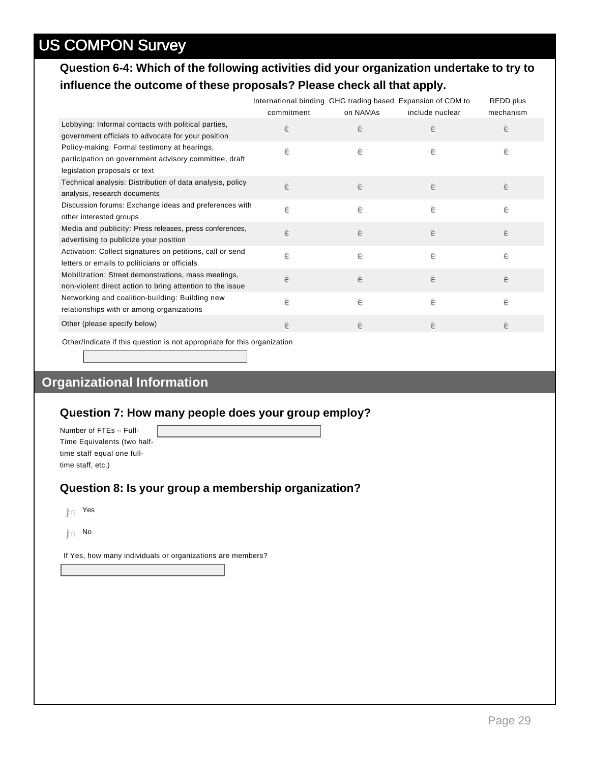#### **Question 6-4: Which of the following activities did your organization undertake to try to influence the outcome of these proposals? Please check all that apply.**

|                                                                                                                                        | International binding GHG trading based Expansion of CDM to<br>commitment | on NAMAs | include nuclear | <b>REDD</b> plus<br>mechanism |
|----------------------------------------------------------------------------------------------------------------------------------------|---------------------------------------------------------------------------|----------|-----------------|-------------------------------|
| Lobbying: Informal contacts with political parties,<br>government officials to advocate for your position                              | ê                                                                         | ê        | ê               | ê                             |
| Policy-making: Formal testimony at hearings,<br>participation on government advisory committee, draft<br>legislation proposals or text | ê                                                                         | ê        | ê               | ê                             |
| Technical analysis: Distribution of data analysis, policy<br>analysis, research documents                                              | ê                                                                         | ê        | ê               | ê                             |
| Discussion forums: Exchange ideas and preferences with<br>other interested groups                                                      | ê                                                                         | ê        | ê               | ê                             |
| Media and publicity: Press releases, press conferences,<br>advertising to publicize your position                                      | ê                                                                         | ê        | ê               | ê                             |
| Activation: Collect signatures on petitions, call or send<br>letters or emails to politicians or officials                             | ê                                                                         | ê        | ê               | ê                             |
| Mobilization: Street demonstrations, mass meetings,<br>non-violent direct action to bring attention to the issue                       | ê                                                                         | ê        | ê               | ê                             |
| Networking and coalition-building: Building new<br>relationships with or among organizations                                           | ê                                                                         | ê        | ê               | ê                             |
| Other (please specify below)                                                                                                           | ê                                                                         | ê        | ê               | ê                             |
|                                                                                                                                        |                                                                           |          |                 |                               |

Other/Indicate if this question is not appropriate for this organization

### **Organizational Information**

#### **Question 7: How many people does your group employ?**

Number of FTEs -- Full-Time Equivalents (two halftime staff equal one fulltime staff, etc.)

#### **Question 8: Is your group a membership organization?**

 $\mathsf{h}$ n Yes

 $\mathsf{p}_\cap$  No

If Yes, how many individuals or organizations are members?